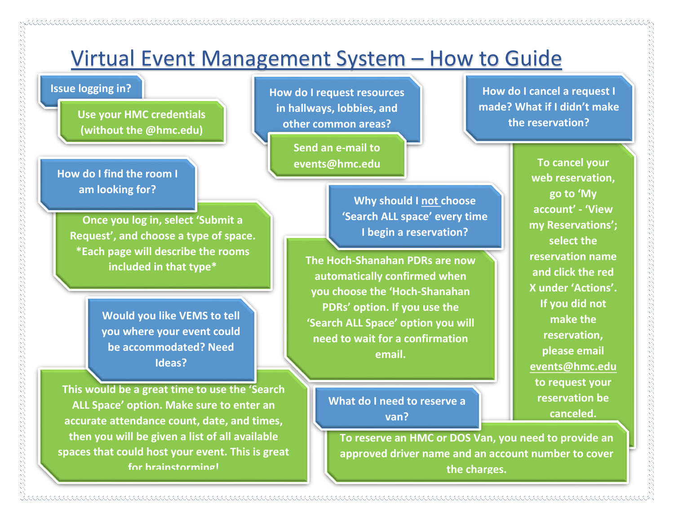

**for brainstorming!** 

**approved driver name and an account number to cover the charges.**